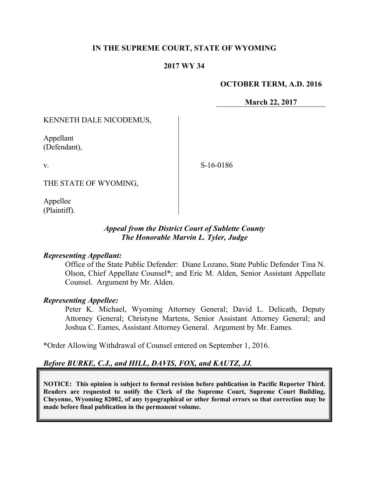## **IN THE SUPREME COURT, STATE OF WYOMING**

### **2017 WY 34**

#### **OCTOBER TERM, A.D. 2016**

**March 22, 2017**

KENNETH DALE NICODEMUS,

Appellant (Defendant),

v.

S-16-0186

THE STATE OF WYOMING,

Appellee (Plaintiff).

### *Appeal from the District Court of Sublette County The Honorable Marvin L. Tyler, Judge*

#### *Representing Appellant:*

Office of the State Public Defender: Diane Lozano, State Public Defender Tina N. Olson, Chief Appellate Counsel\*; and Eric M. Alden, Senior Assistant Appellate Counsel. Argument by Mr. Alden.

#### *Representing Appellee:*

Peter K. Michael, Wyoming Attorney General; David L. Delicath, Deputy Attorney General; Christyne Martens, Senior Assistant Attorney General; and Joshua C. Eames, Assistant Attorney General. Argument by Mr. Eames.

\*Order Allowing Withdrawal of Counsel entered on September 1, 2016.

## *Before BURKE, C.J., and HILL, DAVIS, FOX, and KAUTZ, JJ.*

**NOTICE: This opinion is subject to formal revision before publication in Pacific Reporter Third. Readers are requested to notify the Clerk of the Supreme Court, Supreme Court Building, Cheyenne, Wyoming 82002, of any typographical or other formal errors so that correction may be made before final publication in the permanent volume.**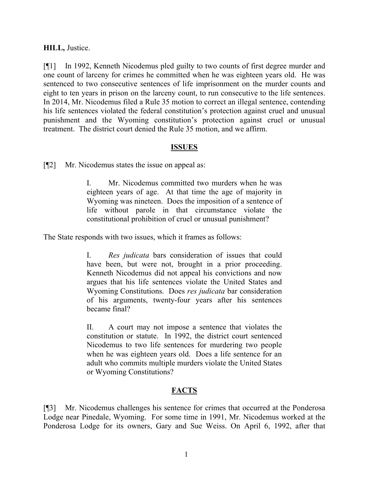### **HILL,** Justice.

[¶1] In 1992, Kenneth Nicodemus pled guilty to two counts of first degree murder and one count of larceny for crimes he committed when he was eighteen years old. He was sentenced to two consecutive sentences of life imprisonment on the murder counts and eight to ten years in prison on the larceny count, to run consecutive to the life sentences. In 2014, Mr. Nicodemus filed a Rule 35 motion to correct an illegal sentence, contending his life sentences violated the federal constitution's protection against cruel and unusual punishment and the Wyoming constitution's protection against cruel or unusual treatment. The district court denied the Rule 35 motion, and we affirm.

### **ISSUES**

[¶2] Mr. Nicodemus states the issue on appeal as:

I. Mr. Nicodemus committed two murders when he was eighteen years of age. At that time the age of majority in Wyoming was nineteen. Does the imposition of a sentence of life without parole in that circumstance violate the constitutional prohibition of cruel or unusual punishment?

The State responds with two issues, which it frames as follows:

I. *Res judicata* bars consideration of issues that could have been, but were not, brought in a prior proceeding. Kenneth Nicodemus did not appeal his convictions and now argues that his life sentences violate the United States and Wyoming Constitutions. Does *res judicata* bar consideration of his arguments, twenty-four years after his sentences became final?

II. A court may not impose a sentence that violates the constitution or statute. In 1992, the district court sentenced Nicodemus to two life sentences for murdering two people when he was eighteen years old. Does a life sentence for an adult who commits multiple murders violate the United States or Wyoming Constitutions?

# **FACTS**

[¶3] Mr. Nicodemus challenges his sentence for crimes that occurred at the Ponderosa Lodge near Pinedale, Wyoming. For some time in 1991, Mr. Nicodemus worked at the Ponderosa Lodge for its owners, Gary and Sue Weiss. On April 6, 1992, after that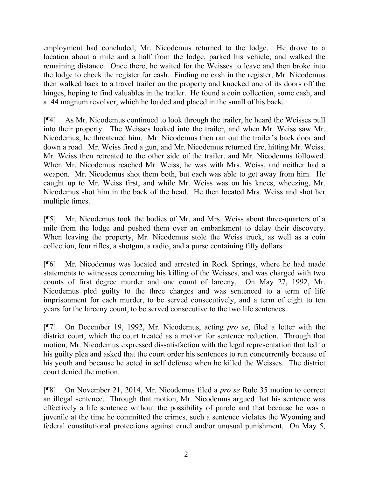employment had concluded, Mr. Nicodemus returned to the lodge. He drove to a location about a mile and a half from the lodge, parked his vehicle, and walked the remaining distance. Once there, he waited for the Weisses to leave and then broke into the lodge to check the register for cash. Finding no cash in the register, Mr. Nicodemus then walked back to a travel trailer on the property and knocked one of its doors off the hinges, hoping to find valuables in the trailer. He found a coin collection, some cash, and a .44 magnum revolver, which he loaded and placed in the small of his back.

[¶4] As Mr. Nicodemus continued to look through the trailer, he heard the Weisses pull into their property. The Weisses looked into the trailer, and when Mr. Weiss saw Mr. Nicodemus, he threatened him. Mr. Nicodemus then ran out the trailer's back door and down a road. Mr. Weiss fired a gun, and Mr. Nicodemus returned fire, hitting Mr. Weiss. Mr. Weiss then retreated to the other side of the trailer, and Mr. Nicodemus followed. When Mr. Nicodemus reached Mr. Weiss, he was with Mrs. Weiss, and neither had a weapon. Mr. Nicodemus shot them both, but each was able to get away from him. He caught up to Mr. Weiss first, and while Mr. Weiss was on his knees, wheezing, Mr. Nicodemus shot him in the back of the head. He then located Mrs. Weiss and shot her multiple times.

[¶5] Mr. Nicodemus took the bodies of Mr. and Mrs. Weiss about three-quarters of a mile from the lodge and pushed them over an embankment to delay their discovery. When leaving the property, Mr. Nicodemus stole the Weiss truck, as well as a coin collection, four rifles, a shotgun, a radio, and a purse containing fifty dollars.

[¶6] Mr. Nicodemus was located and arrested in Rock Springs, where he had made statements to witnesses concerning his killing of the Weisses, and was charged with two counts of first degree murder and one count of larceny. On May 27, 1992, Mr. Nicodemus pled guilty to the three charges and was sentenced to a term of life imprisonment for each murder, to be served consecutively, and a term of eight to ten years for the larceny count, to be served consecutive to the two life sentences.

[¶7] On December 19, 1992, Mr. Nicodemus, acting *pro se*, filed a letter with the district court, which the court treated as a motion for sentence reduction. Through that motion, Mr. Nicodemus expressed dissatisfaction with the legal representation that led to his guilty plea and asked that the court order his sentences to run concurrently because of his youth and because he acted in self defense when he killed the Weisses. The district court denied the motion.

[¶8] On November 21, 2014, Mr. Nicodemus filed a *pro se* Rule 35 motion to correct an illegal sentence. Through that motion, Mr. Nicodemus argued that his sentence was effectively a life sentence without the possibility of parole and that because he was a juvenile at the time he committed the crimes, such a sentence violates the Wyoming and federal constitutional protections against cruel and/or unusual punishment. On May 5,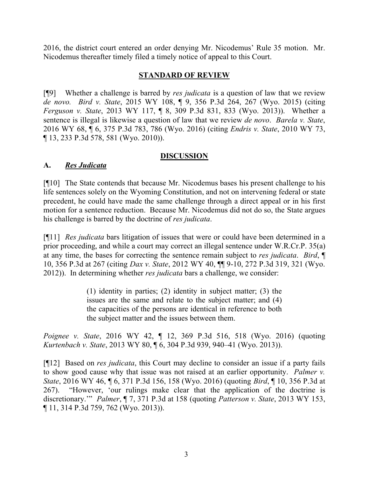2016, the district court entered an order denying Mr. Nicodemus' Rule 35 motion. Mr. Nicodemus thereafter timely filed a timely notice of appeal to this Court.

## **STANDARD OF REVIEW**

[¶9] Whether a challenge is barred by *res judicata* is a question of law that we review *de novo. Bird v. State*, 2015 WY 108, ¶ 9, 356 P.3d 264, 267 (Wyo. 2015) (citing *Ferguson v. State*, 2013 WY 117, ¶ 8, 309 P.3d 831, 833 (Wyo. 2013)). Whether a sentence is illegal is likewise a question of law that we review *de novo*. *Barela v. State*, 2016 WY 68, ¶ 6, 375 P.3d 783, 786 (Wyo. 2016) (citing *Endris v. State*, 2010 WY 73, ¶ 13, 233 P.3d 578, 581 (Wyo. 2010)).

## **DISCUSSION**

## **A.** *Res Judicata*

[¶10] The State contends that because Mr. Nicodemus bases his present challenge to his life sentences solely on the Wyoming Constitution, and not on intervening federal or state precedent, he could have made the same challenge through a direct appeal or in his first motion for a sentence reduction. Because Mr. Nicodemus did not do so, the State argues his challenge is barred by the doctrine of *res judicata*.

[¶11] *Res judicata* bars litigation of issues that were or could have been determined in a prior proceeding, and while a court may correct an illegal sentence under W.R.Cr.P. 35(a) at any time, the bases for correcting the sentence remain subject to *res judicata*. *Bird*, ¶ 10, 356 P.3d at 267 (citing *Dax v. State*, 2012 WY 40, ¶¶ 9-10, 272 P.3d 319, 321 (Wyo. 2012)). In determining whether *res judicata* bars a challenge, we consider:

> (1) identity in parties; (2) identity in subject matter; (3) the issues are the same and relate to the subject matter; and (4) the capacities of the persons are identical in reference to both the subject matter and the issues between them.

*Poignee v. State*, 2016 WY 42, ¶ 12, 369 P.3d 516, 518 (Wyo. 2016) (quoting *Kurtenbach v. State*, 2013 WY 80, ¶ 6, 304 P.3d 939, 940–41 (Wyo. 2013)).

[¶12] Based on *res judicata*, this Court may decline to consider an issue if a party fails to show good cause why that issue was not raised at an earlier opportunity. *Palmer v. State*, 2016 WY 46, ¶ 6, 371 P.3d 156, 158 (Wyo. 2016) (quoting *Bird*, ¶ 10, 356 P.3d at 267). "However, 'our rulings make clear that the application of the doctrine is discretionary.'" *Palmer*, ¶ 7, 371 P.3d at 158 (quoting *Patterson v. State*, 2013 WY 153, ¶ 11, 314 P.3d 759, 762 (Wyo. 2013)).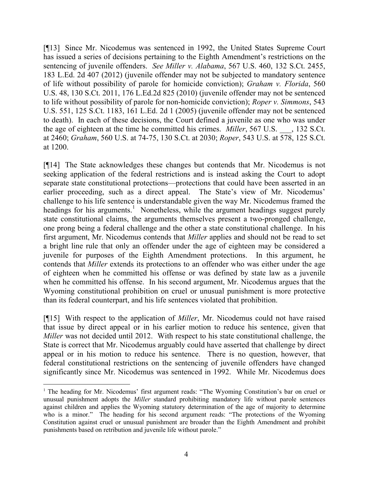[¶13] Since Mr. Nicodemus was sentenced in 1992, the United States Supreme Court has issued a series of decisions pertaining to the Eighth Amendment's restrictions on the sentencing of juvenile offenders. *See Miller v. Alabama*, 567 U.S. 460, 132 S.Ct. 2455, 183 L.Ed. 2d 407 (2012) (juvenile offender may not be subjected to mandatory sentence of life without possibility of parole for homicide conviction); *Graham v. Florida*, 560 U.S. 48, 130 S.Ct. 2011, 176 L.Ed.2d 825 (2010) (juvenile offender may not be sentenced to life without possibility of parole for non-homicide conviction); *Roper v. Simmons*, 543 U.S. 551, 125 S.Ct. 1183, 161 L.Ed. 2d 1 (2005) (juvenile offender may not be sentenced to death). In each of these decisions, the Court defined a juvenile as one who was under the age of eighteen at the time he committed his crimes. *Miller*, 567 U.S. \_\_\_, 132 S.Ct. at 2460; *Graham*, 560 U.S. at 74-75, 130 S.Ct. at 2030; *Roper*, 543 U.S. at 578, 125 S.Ct. at 1200.

[¶14] The State acknowledges these changes but contends that Mr. Nicodemus is not seeking application of the federal restrictions and is instead asking the Court to adopt separate state constitutional protections—protections that could have been asserted in an earlier proceeding, such as a direct appeal. The State's view of Mr. Nicodemus' challenge to his life sentence is understandable given the way Mr. Nicodemus framed the headings for his arguments.<sup>1</sup> Nonetheless, while the argument headings suggest purely state constitutional claims, the arguments themselves present a two-pronged challenge, one prong being a federal challenge and the other a state constitutional challenge. In his first argument, Mr. Nicodemus contends that *Miller* applies and should not be read to set a bright line rule that only an offender under the age of eighteen may be considered a juvenile for purposes of the Eighth Amendment protections. In this argument, he contends that *Miller* extends its protections to an offender who was either under the age of eighteen when he committed his offense or was defined by state law as a juvenile when he committed his offense. In his second argument, Mr. Nicodemus argues that the Wyoming constitutional prohibition on cruel or unusual punishment is more protective than its federal counterpart, and his life sentences violated that prohibition.

[¶15] With respect to the application of *Miller*, Mr. Nicodemus could not have raised that issue by direct appeal or in his earlier motion to reduce his sentence, given that *Miller* was not decided until 2012. With respect to his state constitutional challenge, the State is correct that Mr. Nicodemus arguably could have asserted that challenge by direct appeal or in his motion to reduce his sentence. There is no question, however, that federal constitutional restrictions on the sentencing of juvenile offenders have changed significantly since Mr. Nicodemus was sentenced in 1992. While Mr. Nicodemus does

<sup>&</sup>lt;sup>1</sup> The heading for Mr. Nicodemus' first argument reads: "The Wyoming Constitution's bar on cruel or unusual punishment adopts the *Miller* standard prohibiting mandatory life without parole sentences against children and applies the Wyoming statutory determination of the age of majority to determine who is a minor." The heading for his second argument reads: "The protections of the Wyoming Constitution against cruel or unusual punishment are broader than the Eighth Amendment and prohibit punishments based on retribution and juvenile life without parole."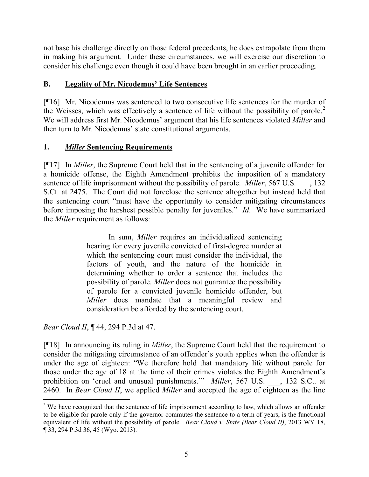not base his challenge directly on those federal precedents, he does extrapolate from them in making his argument. Under these circumstances, we will exercise our discretion to consider his challenge even though it could have been brought in an earlier proceeding.

# **B. Legality of Mr. Nicodemus' Life Sentences**

[¶16] Mr. Nicodemus was sentenced to two consecutive life sentences for the murder of the Weisses, which was effectively a sentence of life without the possibility of parole.<sup>2</sup> We will address first Mr. Nicodemus' argument that his life sentences violated *Miller* and then turn to Mr. Nicodemus' state constitutional arguments.

# **1.** *Miller* **Sentencing Requirements**

[¶17] In *Miller*, the Supreme Court held that in the sentencing of a juvenile offender for a homicide offense, the Eighth Amendment prohibits the imposition of a mandatory sentence of life imprisonment without the possibility of parole. *Miller*, 567 U.S., 132 S.Ct. at 2475. The Court did not foreclose the sentence altogether but instead held that the sentencing court "must have the opportunity to consider mitigating circumstances before imposing the harshest possible penalty for juveniles." *Id*. We have summarized the *Miller* requirement as follows:

> In sum, *Miller* requires an individualized sentencing hearing for every juvenile convicted of first-degree murder at which the sentencing court must consider the individual, the factors of youth, and the nature of the homicide in determining whether to order a sentence that includes the possibility of parole. *Miller* does not guarantee the possibility of parole for a convicted juvenile homicide offender, but *Miller* does mandate that a meaningful review and consideration be afforded by the sentencing court.

*Bear Cloud II*, ¶ 44, 294 P.3d at 47.

l

[¶18] In announcing its ruling in *Miller*, the Supreme Court held that the requirement to consider the mitigating circumstance of an offender's youth applies when the offender is under the age of eighteen: "We therefore hold that mandatory life without parole for those under the age of 18 at the time of their crimes violates the Eighth Amendment's prohibition on 'cruel and unusual punishments.'" *Miller*, 567 U.S. \_\_\_, 132 S.Ct. at 2460. In *Bear Cloud II*, we applied *Miller* and accepted the age of eighteen as the line

<sup>&</sup>lt;sup>2</sup> We have recognized that the sentence of life imprisonment according to law, which allows an offender to be eligible for parole only if the governor commutes the sentence to a term of years, is the functional equivalent of life without the possibility of parole. *Bear Cloud v. State (Bear Cloud II)*, 2013 WY 18, ¶ 33, 294 P.3d 36, 45 (Wyo. 2013).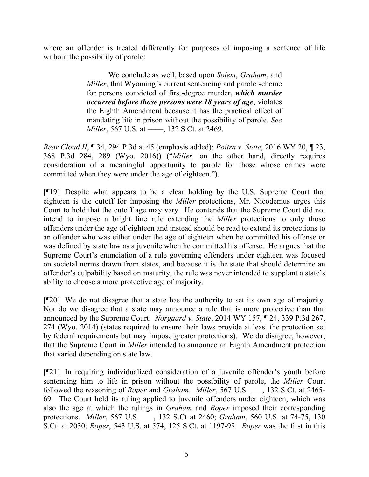where an offender is treated differently for purposes of imposing a sentence of life without the possibility of parole:

> We conclude as well, based upon *Solem*, *Graham*, and *Miller*, that Wyoming's current sentencing and parole scheme for persons convicted of first-degree murder, *which murder occurred before those persons were 18 years of age*, violates the Eighth Amendment because it has the practical effect of mandating life in prison without the possibility of parole. *See Miller*, 567 U.S. at ——, 132 S.Ct. at 2469.

*Bear Cloud II*, ¶ 34, 294 P.3d at 45 (emphasis added); *Poitra v. State*, 2016 WY 20, ¶ 23, 368 P.3d 284, 289 (Wyo. 2016)) ("*Miller,* on the other hand, directly requires consideration of a meaningful opportunity to parole for those whose crimes were committed when they were under the age of eighteen.").

[¶19] Despite what appears to be a clear holding by the U.S. Supreme Court that eighteen is the cutoff for imposing the *Miller* protections, Mr. Nicodemus urges this Court to hold that the cutoff age may vary. He contends that the Supreme Court did not intend to impose a bright line rule extending the *Miller* protections to only those offenders under the age of eighteen and instead should be read to extend its protections to an offender who was either under the age of eighteen when he committed his offense or was defined by state law as a juvenile when he committed his offense. He argues that the Supreme Court's enunciation of a rule governing offenders under eighteen was focused on societal norms drawn from states, and because it is the state that should determine an offender's culpability based on maturity, the rule was never intended to supplant a state's ability to choose a more protective age of majority.

[¶20] We do not disagree that a state has the authority to set its own age of majority. Nor do we disagree that a state may announce a rule that is more protective than that announced by the Supreme Court. *Norgaard v. State*, 2014 WY 157, ¶ 24, 339 P.3d 267, 274 (Wyo. 2014) (states required to ensure their laws provide at least the protection set by federal requirements but may impose greater protections). We do disagree, however, that the Supreme Court in *Miller* intended to announce an Eighth Amendment protection that varied depending on state law.

[¶21] In requiring individualized consideration of a juvenile offender's youth before sentencing him to life in prison without the possibility of parole, the *Miller* Court followed the reasoning of *Roper* and *Graham*. *Miller*, 567 U.S. \_\_\_, 132 S.Ct. at 2465- 69. The Court held its ruling applied to juvenile offenders under eighteen, which was also the age at which the rulings in *Graham* and *Roper* imposed their corresponding protections. *Miller*, 567 U.S. \_\_\_, 132 S.Ct at 2460; *Graham*, 560 U.S. at 74-75, 130 S.Ct. at 2030; *Roper*, 543 U.S. at 574, 125 S.Ct. at 1197-98. *Roper* was the first in this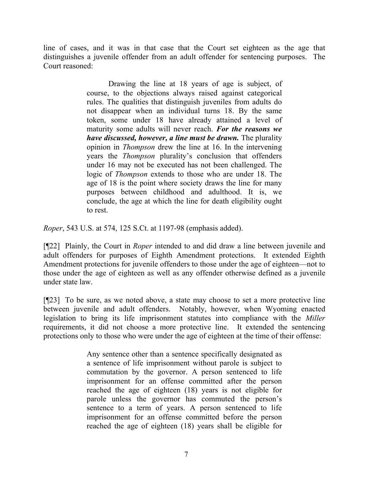line of cases, and it was in that case that the Court set eighteen as the age that distinguishes a juvenile offender from an adult offender for sentencing purposes. The Court reasoned:

> Drawing the line at 18 years of age is subject, of course, to the objections always raised against categorical rules. The qualities that distinguish juveniles from adults do not disappear when an individual turns 18. By the same token, some under 18 have already attained a level of maturity some adults will never reach. *For the reasons we have discussed, however, a line must be drawn.* The plurality opinion in *Thompson* drew the line at 16. In the intervening years the *Thompson* plurality's conclusion that offenders under 16 may not be executed has not been challenged. The logic of *Thompson* extends to those who are under 18. The age of 18 is the point where society draws the line for many purposes between childhood and adulthood. It is, we conclude, the age at which the line for death eligibility ought to rest.

*Roper*, 543 U.S. at 574, 125 S.Ct. at 1197-98 (emphasis added).

[¶22] Plainly, the Court in *Roper* intended to and did draw a line between juvenile and adult offenders for purposes of Eighth Amendment protections. It extended Eighth Amendment protections for juvenile offenders to those under the age of eighteen—not to those under the age of eighteen as well as any offender otherwise defined as a juvenile under state law.

[¶23] To be sure, as we noted above, a state may choose to set a more protective line between juvenile and adult offenders. Notably, however, when Wyoming enacted legislation to bring its life imprisonment statutes into compliance with the *Miller* requirements, it did not choose a more protective line. It extended the sentencing protections only to those who were under the age of eighteen at the time of their offense:

> Any sentence other than a sentence specifically designated as a sentence of life imprisonment without parole is subject to commutation by the governor. A person sentenced to life imprisonment for an offense committed after the person reached the age of eighteen (18) years is not eligible for parole unless the governor has commuted the person's sentence to a term of years. A person sentenced to life imprisonment for an offense committed before the person reached the age of eighteen (18) years shall be eligible for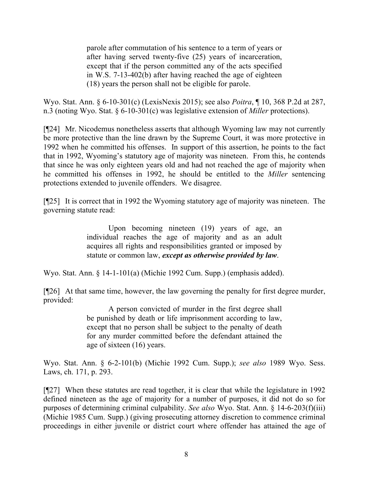parole after commutation of his sentence to a term of years or after having served twenty-five (25) years of incarceration, except that if the person committed any of the acts specified in W.S. 7-13-402(b) after having reached the age of eighteen (18) years the person shall not be eligible for parole.

Wyo. Stat. Ann. § 6-10-301(c) (LexisNexis 2015); see also *Poitra*, ¶ 10, 368 P.2d at 287, n.3 (noting Wyo. Stat. § 6-10-301(c) was legislative extension of *Miller* protections).

[¶24] Mr. Nicodemus nonetheless asserts that although Wyoming law may not currently be more protective than the line drawn by the Supreme Court, it was more protective in 1992 when he committed his offenses. In support of this assertion, he points to the fact that in 1992, Wyoming's statutory age of majority was nineteen. From this, he contends that since he was only eighteen years old and had not reached the age of majority when he committed his offenses in 1992, he should be entitled to the *Miller* sentencing protections extended to juvenile offenders. We disagree.

[¶25] It is correct that in 1992 the Wyoming statutory age of majority was nineteen. The governing statute read:

> Upon becoming nineteen (19) years of age, an individual reaches the age of majority and as an adult acquires all rights and responsibilities granted or imposed by statute or common law, *except as otherwise provided by law*.

Wyo. Stat. Ann. § 14-1-101(a) (Michie 1992 Cum. Supp.) (emphasis added).

[¶26] At that same time, however, the law governing the penalty for first degree murder, provided:

> A person convicted of murder in the first degree shall be punished by death or life imprisonment according to law, except that no person shall be subject to the penalty of death for any murder committed before the defendant attained the age of sixteen (16) years.

Wyo. Stat. Ann. § 6-2-101(b) (Michie 1992 Cum. Supp.); *see also* 1989 Wyo. Sess. Laws, ch. 171, p. 293.

[¶27] When these statutes are read together, it is clear that while the legislature in 1992 defined nineteen as the age of majority for a number of purposes, it did not do so for purposes of determining criminal culpability. *See also* Wyo. Stat. Ann. § 14-6-203(f)(iii) (Michie 1985 Cum. Supp.) (giving prosecuting attorney discretion to commence criminal proceedings in either juvenile or district court where offender has attained the age of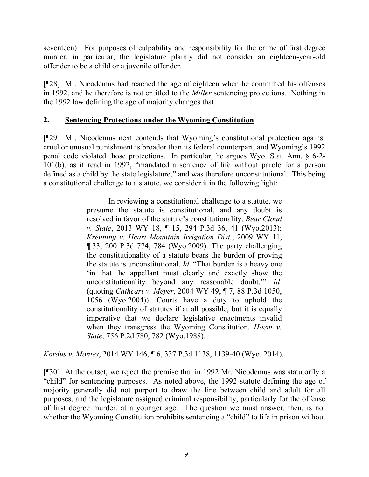seventeen). For purposes of culpability and responsibility for the crime of first degree murder, in particular, the legislature plainly did not consider an eighteen-year-old offender to be a child or a juvenile offender.

[¶28] Mr. Nicodemus had reached the age of eighteen when he committed his offenses in 1992, and he therefore is not entitled to the *Miller* sentencing protections. Nothing in the 1992 law defining the age of majority changes that.

### **2. Sentencing Protections under the Wyoming Constitution**

[¶29] Mr. Nicodemus next contends that Wyoming's constitutional protection against cruel or unusual punishment is broader than its federal counterpart, and Wyoming's 1992 penal code violated those protections. In particular, he argues Wyo. Stat. Ann. § 6-2- 101(b), as it read in 1992, "mandated a sentence of life without parole for a person defined as a child by the state legislature," and was therefore unconstitutional. This being a constitutional challenge to a statute, we consider it in the following light:

> In reviewing a constitutional challenge to a statute, we presume the statute is constitutional, and any doubt is resolved in favor of the statute's constitutionality. *Bear Cloud v. State*, 2013 WY 18, ¶ 15, 294 P.3d 36, 41 (Wyo.2013); *Krenning v. Heart Mountain Irrigation Dist.*, 2009 WY 11, ¶ 33, 200 P.3d 774, 784 (Wyo.2009). The party challenging the constitutionality of a statute bears the burden of proving the statute is unconstitutional. *Id*. "That burden is a heavy one 'in that the appellant must clearly and exactly show the unconstitutionality beyond any reasonable doubt.'" *Id*. (quoting *Cathcart v. Meyer*, 2004 WY 49, ¶ 7, 88 P.3d 1050, 1056 (Wyo.2004)). Courts have a duty to uphold the constitutionality of statutes if at all possible, but it is equally imperative that we declare legislative enactments invalid when they transgress the Wyoming Constitution. *Hoem v. State*, 756 P.2d 780, 782 (Wyo.1988).

*Kordus v. Montes*, 2014 WY 146, ¶ 6, 337 P.3d 1138, 1139-40 (Wyo. 2014).

[¶30] At the outset, we reject the premise that in 1992 Mr. Nicodemus was statutorily a "child" for sentencing purposes. As noted above, the 1992 statute defining the age of majority generally did not purport to draw the line between child and adult for all purposes, and the legislature assigned criminal responsibility, particularly for the offense of first degree murder, at a younger age. The question we must answer, then, is not whether the Wyoming Constitution prohibits sentencing a "child" to life in prison without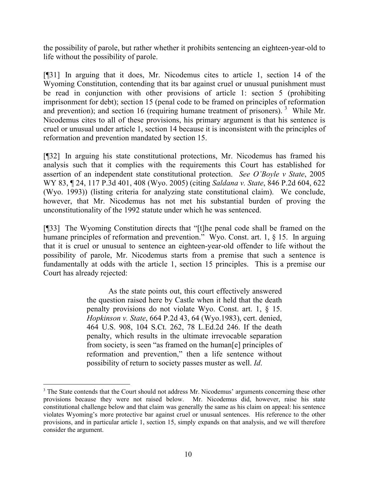the possibility of parole, but rather whether it prohibits sentencing an eighteen-year-old to life without the possibility of parole.

[¶31] In arguing that it does, Mr. Nicodemus cites to article 1, section 14 of the Wyoming Constitution, contending that its bar against cruel or unusual punishment must be read in conjunction with other provisions of article 1: section 5 (prohibiting imprisonment for debt); section 15 (penal code to be framed on principles of reformation and prevention); and section 16 (requiring humane treatment of prisoners).<sup>3</sup> While Mr. Nicodemus cites to all of these provisions, his primary argument is that his sentence is cruel or unusual under article 1, section 14 because it is inconsistent with the principles of reformation and prevention mandated by section 15.

[¶32] In arguing his state constitutional protections, Mr. Nicodemus has framed his analysis such that it complies with the requirements this Court has established for assertion of an independent state constitutional protection. *See O'Boyle v State*, 2005 WY 83, ¶ 24, 117 P.3d 401, 408 (Wyo. 2005) (citing *Saldana v. State*, 846 P.2d 604, 622 (Wyo. 1993)) (listing criteria for analyzing state constitutional claim). We conclude, however, that Mr. Nicodemus has not met his substantial burden of proving the unconstitutionality of the 1992 statute under which he was sentenced.

[¶33] The Wyoming Constitution directs that "[t]he penal code shall be framed on the humane principles of reformation and prevention." Wyo. Const. art. 1, § 15. In arguing that it is cruel or unusual to sentence an eighteen-year-old offender to life without the possibility of parole, Mr. Nicodemus starts from a premise that such a sentence is fundamentally at odds with the article 1, section 15 principles. This is a premise our Court has already rejected:

> As the state points out, this court effectively answered the question raised here by Castle when it held that the death penalty provisions do not violate Wyo. Const. art. 1, § 15. *Hopkinson v. State*, 664 P.2d 43, 64 (Wyo.1983), cert. denied, 464 U.S. 908, 104 S.Ct. 262, 78 L.Ed.2d 246. If the death penalty, which results in the ultimate irrevocable separation from society, is seen "as framed on the human[e] principles of reformation and prevention," then a life sentence without possibility of return to society passes muster as well. *Id*.

<sup>&</sup>lt;sup>3</sup> The State contends that the Court should not address Mr. Nicodemus' arguments concerning these other provisions because they were not raised below. Mr. Nicodemus did, however, raise his state constitutional challenge below and that claim was generally the same as his claim on appeal: his sentence violates Wyoming's more protective bar against cruel or unusual sentences. His reference to the other provisions, and in particular article 1, section 15, simply expands on that analysis, and we will therefore consider the argument.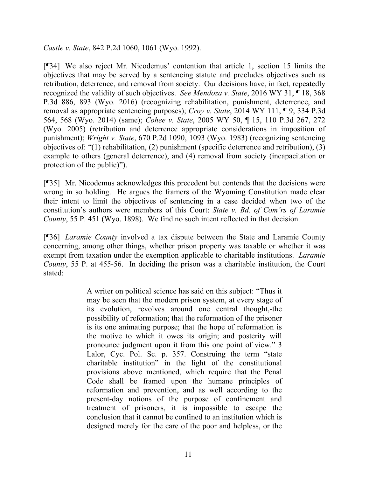*Castle v. State*, 842 P.2d 1060, 1061 (Wyo. 1992).

[¶34] We also reject Mr. Nicodemus' contention that article 1, section 15 limits the objectives that may be served by a sentencing statute and precludes objectives such as retribution, deterrence, and removal from society. Our decisions have, in fact, repeatedly recognized the validity of such objectives. *See Mendoza v. State*, 2016 WY 31, ¶ 18, 368 P.3d 886, 893 (Wyo. 2016) (recognizing rehabilitation, punishment, deterrence, and removal as appropriate sentencing purposes); *Croy v. State*, 2014 WY 111, ¶ 9, 334 P.3d 564, 568 (Wyo. 2014) (same); *Cohee v. State*, 2005 WY 50, ¶ 15, 110 P.3d 267, 272 (Wyo. 2005) (retribution and deterrence appropriate considerations in imposition of punishment); *Wright v. State*, 670 P.2d 1090, 1093 (Wyo. 1983) (recognizing sentencing objectives of: "(1) rehabilitation, (2) punishment (specific deterrence and retribution), (3) example to others (general deterrence), and (4) removal from society (incapacitation or protection of the public)").

[¶35] Mr. Nicodemus acknowledges this precedent but contends that the decisions were wrong in so holding. He argues the framers of the Wyoming Constitution made clear their intent to limit the objectives of sentencing in a case decided when two of the constitution's authors were members of this Court: *State v. Bd. of Com'rs of Laramie County*, 55 P. 451 (Wyo. 1898). We find no such intent reflected in that decision.

[¶36] *Laramie County* involved a tax dispute between the State and Laramie County concerning, among other things, whether prison property was taxable or whether it was exempt from taxation under the exemption applicable to charitable institutions. *Laramie County*, 55 P. at 455-56. In deciding the prison was a charitable institution, the Court stated:

> A writer on political science has said on this subject: "Thus it may be seen that the modern prison system, at every stage of its evolution, revolves around one central thought,-the possibility of reformation; that the reformation of the prisoner is its one animating purpose; that the hope of reformation is the motive to which it owes its origin; and posterity will pronounce judgment upon it from this one point of view." 3 Lalor, Cyc. Pol. Sc. p. 357. Construing the term "state charitable institution" in the light of the constitutional provisions above mentioned, which require that the Penal Code shall be framed upon the humane principles of reformation and prevention, and as well according to the present-day notions of the purpose of confinement and treatment of prisoners, it is impossible to escape the conclusion that it cannot be confined to an institution which is designed merely for the care of the poor and helpless, or the